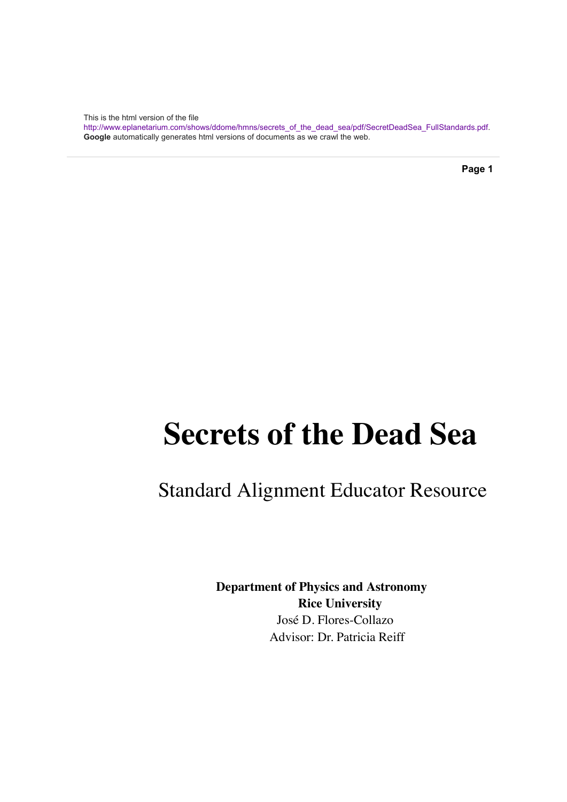This is the html version of the file http://www.eplanetarium.com/shows/ddome/hmns/secrets\_of\_the\_dead\_sea/pdf/SecretDeadSea\_FullStandards.pdf. **Google** automatically generates html versions of documents as we crawl the web.

**Page 1**

# **Secrets of the Dead Sea**

## Standard Alignment Educator Resource

**Department of Physics and Astronomy Rice University** José D. Flores-Collazo Advisor: Dr. Patricia Reiff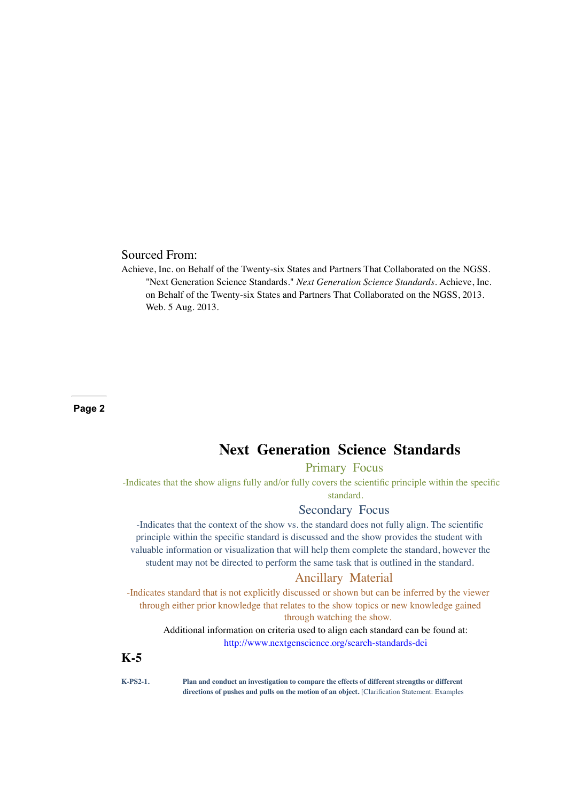Sourced From:

Achieve, Inc. on Behalf of the Twenty-six States and Partners That Collaborated on the NGSS. "Next Generation Science Standards." *Next Generation Science Standards*. Achieve, Inc. on Behalf of the Twenty-six States and Partners That Collaborated on the NGSS, 2013. Web. 5 Aug. 2013.

**Page 2**

## **Next Generation Science Standards**

Primary Focus

-Indicates that the show aligns fully and/or fully covers the scientific principle within the specific standard.

### Secondary Focus

-Indicates that the context of the show vs. the standard does not fully align. The scientific principle within the specific standard is discussed and the show provides the student with valuable information or visualization that will help them complete the standard, however the student may not be directed to perform the same task that is outlined in the standard.

## Ancillary Material

-Indicates standard that is not explicitly discussed or shown but can be inferred by the viewer through either prior knowledge that relates to the show topics or new knowledge gained through watching the show.

Additional information on criteria used to align each standard can be found at: http://www.nextgenscience.org/search-standards-dci

## **K-5**

**K-PS2-1. Plan and conduct an investigation to compare the effects of different strengths or different directions of pushes and pulls on the motion of an object.** [Clarification Statement: Examples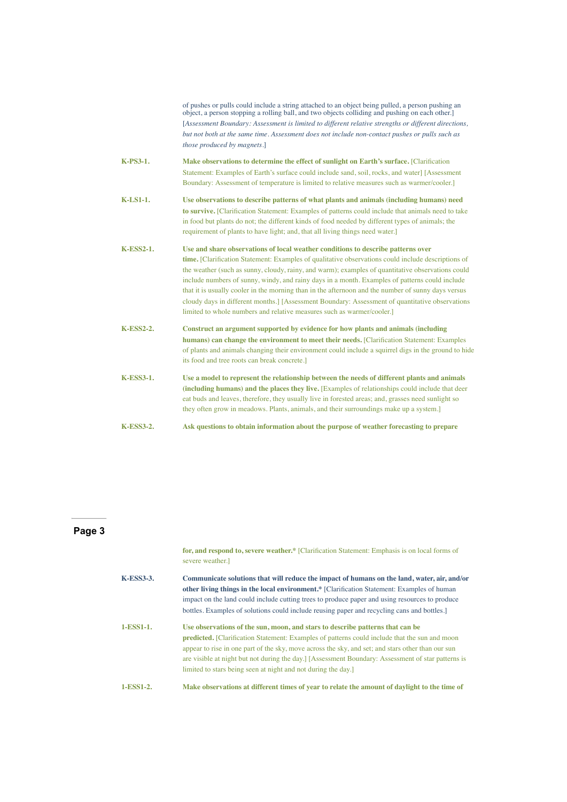of pushes or pulls could include a string attached to an object being pulled, a person pushing an object, a person stopping a rolling ball, and two objects colliding and pushing on each other.] [*Assessment Boundary: Assessment is limited to different relative strengths or different directions, but not both at the same time. Assessment does not include non-contact pushes or pulls such as those produced by magnets.*]

- **K-PS3-1. Make observations to determine the effect of sunlight on Earth's surface.** [Clarification Statement: Examples of Earth's surface could include sand, soil, rocks, and water] [Assessment Boundary: Assessment of temperature is limited to relative measures such as warmer/cooler.]
- **K-LS1-1. Use observations to describe patterns of what plants and animals (including humans) need to survive.** [Clarification Statement: Examples of patterns could include that animals need to take in food but plants do not; the different kinds of food needed by different types of animals; the requirement of plants to have light; and, that all living things need water.]
- **K-ESS2-1. Use and share observations of local weather conditions to describe patterns over time.** [Clarification Statement: Examples of qualitative observations could include descriptions of the weather (such as sunny, cloudy, rainy, and warm); examples of quantitative observations could include numbers of sunny, windy, and rainy days in a month. Examples of patterns could include that it is usually cooler in the morning than in the afternoon and the number of sunny days versus cloudy days in different months.] [Assessment Boundary: Assessment of quantitative observations limited to whole numbers and relative measures such as warmer/cooler.]
- **K-ESS2-2. Construct an argument supported by evidence for how plants and animals (including humans) can change the environment to meet their needs.** [Clarification Statement: Examples of plants and animals changing their environment could include a squirrel digs in the ground to hide its food and tree roots can break concrete.]
- **K-ESS3-1. Use a model to represent the relationship between the needs of different plants and animals (including humans) and the places they live.** [Examples of relationships could include that deer eat buds and leaves, therefore, they usually live in forested areas; and, grasses need sunlight so they often grow in meadows. Plants, animals, and their surroundings make up a system.]

**K-ESS3-2. Ask questions to obtain information about the purpose of weather forecasting to prepare**

#### **Page 3**

|                    | for, and respond to, severe weather.* [Clarification Statement: Emphasis is on local forms of<br>severe weather.                                                                                                                                                                                                                                                                                                                                                 |
|--------------------|------------------------------------------------------------------------------------------------------------------------------------------------------------------------------------------------------------------------------------------------------------------------------------------------------------------------------------------------------------------------------------------------------------------------------------------------------------------|
| <b>K-ESS3-3.</b>   | Communicate solutions that will reduce the impact of humans on the land, water, air, and/or<br>other living things in the local environment.* [Clarification Statement: Examples of human<br>impact on the land could include cutting trees to produce paper and using resources to produce<br>bottles. Examples of solutions could include reusing paper and recycling cans and bottles.                                                                        |
| 1- <b>ESS1-1</b> . | Use observations of the sun, moon, and stars to describe patterns that can be<br><b>predicted.</b> [Clarification Statement: Examples of patterns could include that the sun and moon<br>appear to rise in one part of the sky, move across the sky, and set; and stars other than our sun<br>are visible at night but not during the day.] [Assessment Boundary: Assessment of star patterns is<br>limited to stars being seen at night and not during the day. |
| 1-BSS1-2.          | Make observations at different times of year to relate the amount of daylight to the time of                                                                                                                                                                                                                                                                                                                                                                     |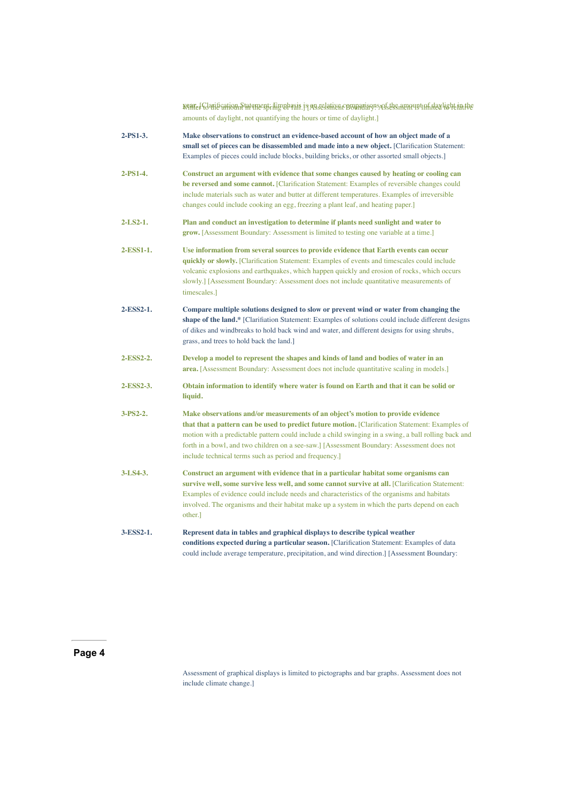**year** winter to the amount in the spring or fall.] [Assessment Boundary: Assessment is limited to relative **.** [Clarification Statement: Emphasis is on relative comparisons of the amount of daylight in the amounts of daylight, not quantifying the hours or time of daylight.]

- **2-PS1-3. Make observations to construct an evidence-based account of how an object made of a small set of pieces can be disassembled and made into a new object.** [Clarification Statement: Examples of pieces could include blocks, building bricks, or other assorted small objects.]
- **2-PS1-4. Construct an argument with evidence that some changes caused by heating or cooling can be reversed and some cannot.** [Clarification Statement: Examples of reversible changes could include materials such as water and butter at different temperatures. Examples of irreversible changes could include cooking an egg, freezing a plant leaf, and heating paper.]
- **2-LS2-1. Plan and conduct an investigation to determine if plants need sunlight and water to grow.** [Assessment Boundary: Assessment is limited to testing one variable at a time.]
- **2-ESS1-1. Use information from several sources to provide evidence that Earth events can occur quickly or slowly.** [Clarification Statement: Examples of events and timescales could include volcanic explosions and earthquakes, which happen quickly and erosion of rocks, which occurs slowly.] [Assessment Boundary: Assessment does not include quantitative measurements of timescales.]
- **2-ESS2-1. Compare multiple solutions designed to slow or prevent wind or water from changing the shape of the land.\*** [Clarifiation Statement: Examples of solutions could include different designs of dikes and windbreaks to hold back wind and water, and different designs for using shrubs, grass, and trees to hold back the land.]
- **2-ESS2-2. Develop a model to represent the shapes and kinds of land and bodies of water in an area.** [Assessment Boundary: Assessment does not include quantitative scaling in models.]
- **2-ESS2-3. Obtain information to identify where water is found on Earth and that it can be solid or liquid.**
- **3-PS2-2. Make observations and/or measurements of an object's motion to provide evidence that that a pattern can be used to predict future motion.** [Clarification Statement: Examples of motion with a predictable pattern could include a child swinging in a swing, a ball rolling back and forth in a bowl, and two children on a see-saw.] [Assessment Boundary: Assessment does not include technical terms such as period and frequency.]
- **3-LS4-3. Construct an argument with evidence that in a particular habitat some organisms can survive well, some survive less well, and some cannot survive at all.** [Clarification Statement: Examples of evidence could include needs and characteristics of the organisms and habitats involved. The organisms and their habitat make up a system in which the parts depend on each other.]
- **3-ESS2-1. Represent data in tables and graphical displays to describe typical weather conditions expected during a particular season.** [Clarification Statement: Examples of data could include average temperature, precipitation, and wind direction.] [Assessment Boundary:

**Page 4**

Assessment of graphical displays is limited to pictographs and bar graphs. Assessment does not include climate change.]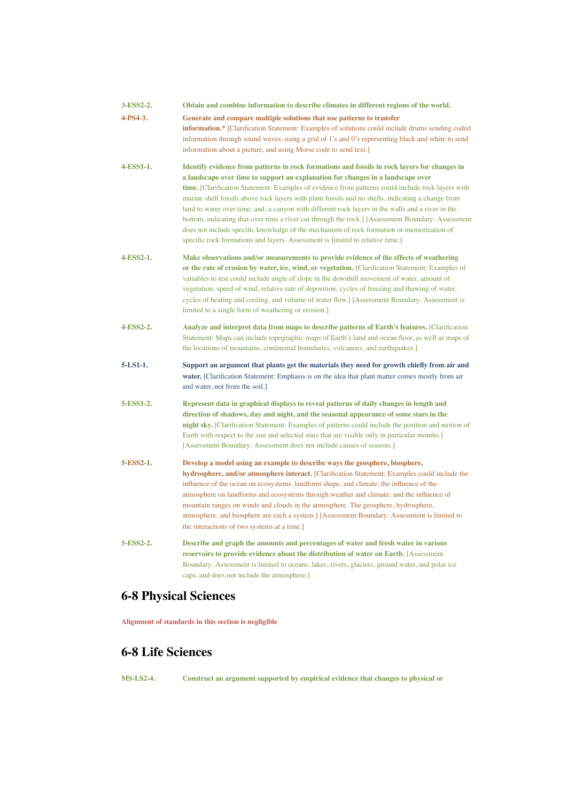| 3-ESS2-2.  | Obtain and combine information to describe climates in different regions of the world.                 |  |
|------------|--------------------------------------------------------------------------------------------------------|--|
| $4-PS4-3.$ | Generate and compare multiple solutions that use patterns to transfer                                  |  |
|            | <b>information.*</b> [Clarification Statement: Examples of solutions could include drums sending coded |  |
|            | information through sound waves, using a grid of 1's and 0's representing black and white to send      |  |
|            | information about a picture, and using Morse code to send text.                                        |  |
|            |                                                                                                        |  |

**4-ESS1-1. Identify evidence from patterns in rock formations and fossils in rock layers for changes in a landscape over time to support an explanation for changes in a landscape over time.** [Clarification Statement: Examples of evidence from patterns could include rock layers with marine shell fossils above rock layers with plant fossils and no shells, indicating a change from land to water over time; and, a canyon with different rock layers in the walls and a river in the bottom, indicating that over time a river cut through the rock.] [Assessment Boundary: Assessment does not include specific knowledge of the mechanism of rock formation or memorization of specific rock formations and layers. Assessment is limited to relative time.]

- **4-ESS2-1. Make observations and/or measurements to provide evidence of the effects of weathering or the rate of erosion by water, ice, wind, or vegetation.** [Clarification Statement: Examples of variables to test could include angle of slope in the downhill movement of water, amount of vegetation, speed of wind, relative rate of deposition, cycles of freezing and thawing of water, cycles of heating and cooling, and volume of water flow.] [Assessment Boundary: Assessment is limited to a single form of weathering or erosion.]
- **4-ESS2-2. Analyze and interpret data from maps to describe patterns of Earth's features.** [Clarification Statement: Maps can include topographic maps of Earth's land and ocean floor, as well as maps of the locations of mountains, continental boundaries, volcanoes, and earthquakes.]
- **5-LS1-1. Support an argument that plants get the materials they need for growth chiefly from air and water.** [Clarification Statement: Emphasis is on the idea that plant matter comes mostly from air and water, not from the soil.]
- **5-ESS1-2. Represent data in graphical displays to reveal patterns of daily changes in length and direction of shadows, day and night, and the seasonal appearance of some stars in the night sky.** [Clarification Statement: Examples of patterns could include the position and motion of Earth with respect to the sun and selected stars that are visible only in particular months.] [Assessment Boundary: Assessment does not include causes of seasons.]
- **5-ESS2-1. Develop a model using an example to describe ways the geosphere, biosphere, hydrosphere, and/or atmosphere interact.** [Clarification Statement: Examples could include the influence of the ocean on ecosystems, landform shape, and climate; the influence of the atmosphere on landforms and ecosystems through weather and climate; and the influence of mountain ranges on winds and clouds in the atmosphere. The geosphere, hydrosphere, atmosphere, and biosphere are each a system.] [Assessment Boundary: Assessment is limited to the interactions of two systems at a time.]
- **5-ESS2-2. Describe and graph the amounts and percentages of water and fresh water in various reservoirs to provide evidence about the distribution of water on Earth.** [Assessment Boundary: Assessment is limited to oceans, lakes, rivers, glaciers, ground water, and polar ice caps, and does not include the atmosphere.]

## **6-8 Physical Sciences**

**Alignment of standards in this section is negligible**

## **6-8 Life Sciences**

**MS-LS2-4. Construct an argument supported by empirical evidence that changes to physical or**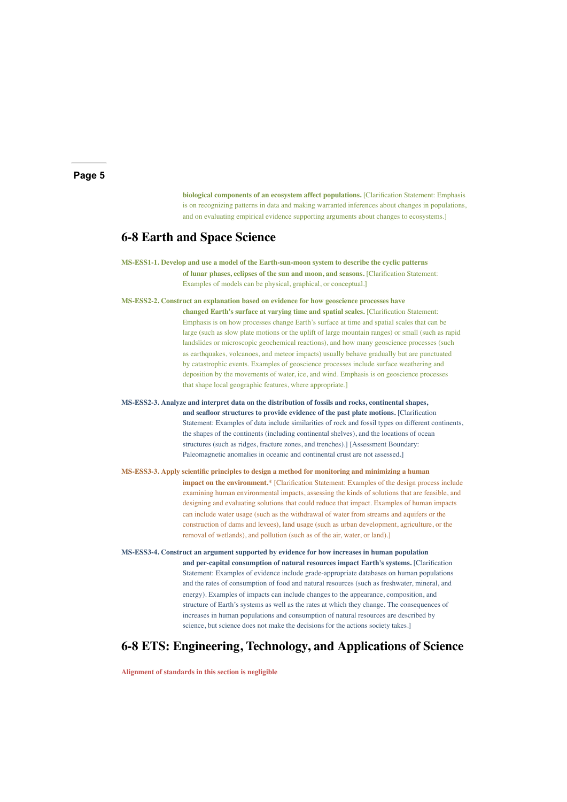#### **Page 5**

**biological components of an ecosystem affect populations.** [Clarification Statement: Emphasis is on recognizing patterns in data and making warranted inferences about changes in populations, and on evaluating empirical evidence supporting arguments about changes to ecosystems.]

### **6-8 Earth and Space Science**

**MS-ESS1-1. Develop and use a model of the Earth-sun-moon system to describe the cyclic patterns of lunar phases, eclipses of the sun and moon, and seasons.** [Clarification Statement: Examples of models can be physical, graphical, or conceptual.]

**MS-ESS2-2. Construct an explanation based on evidence for how geoscience processes have**

**changed Earth's surface at varying time and spatial scales.** [Clarification Statement: Emphasis is on how processes change Earth's surface at time and spatial scales that can be large (such as slow plate motions or the uplift of large mountain ranges) or small (such as rapid landslides or microscopic geochemical reactions), and how many geoscience processes (such as earthquakes, volcanoes, and meteor impacts) usually behave gradually but are punctuated by catastrophic events. Examples of geoscience processes include surface weathering and deposition by the movements of water, ice, and wind. Emphasis is on geoscience processes that shape local geographic features, where appropriate.]

**MS-ESS2-3. Analyze and interpret data on the distribution of fossils and rocks, continental shapes, and seafloor structures to provide evidence of the past plate motions.** [Clarification Statement: Examples of data include similarities of rock and fossil types on different continents, the shapes of the continents (including continental shelves), and the locations of ocean structures (such as ridges, fracture zones, and trenches).] [Assessment Boundary: Paleomagnetic anomalies in oceanic and continental crust are not assessed.]

- **MS-ESS3-3. Apply scientific principles to design a method for monitoring and minimizing a human impact on the environment.\*** [Clarification Statement: Examples of the design process include examining human environmental impacts, assessing the kinds of solutions that are feasible, and designing and evaluating solutions that could reduce that impact. Examples of human impacts can include water usage (such as the withdrawal of water from streams and aquifers or the construction of dams and levees), land usage (such as urban development, agriculture, or the removal of wetlands), and pollution (such as of the air, water, or land).]
- **MS-ESS3-4. Construct an argument supported by evidence for how increases in human population and per-capital consumption of natural resources impact Earth's systems.** [Clarification Statement: Examples of evidence include grade-appropriate databases on human populations and the rates of consumption of food and natural resources (such as freshwater, mineral, and energy). Examples of impacts can include changes to the appearance, composition, and structure of Earth's systems as well as the rates at which they change. The consequences of increases in human populations and consumption of natural resources are described by science, but science does not make the decisions for the actions society takes.]

## **6-8 ETS: Engineering, Technology, and Applications of Science**

**Alignment of standards in this section is negligible**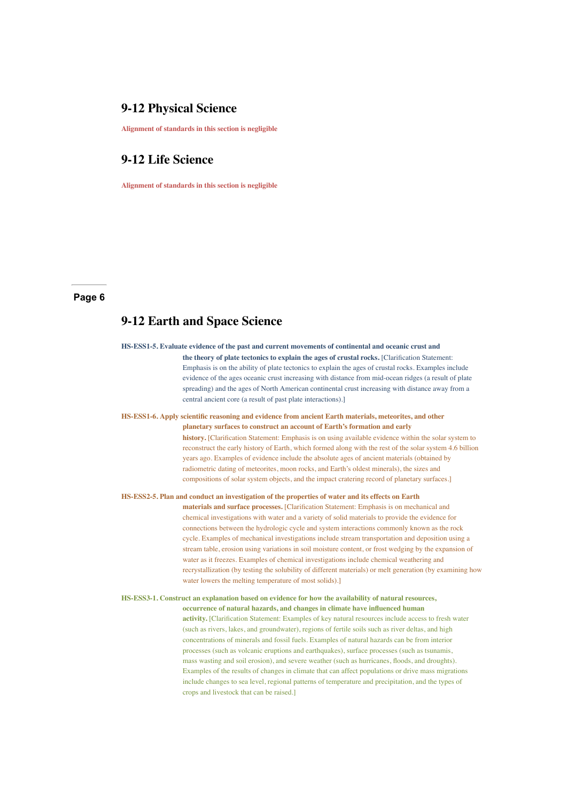## **9-12 Physical Science**

**Alignment of standards in this section is negligible**

## **9-12 Life Science**

**Alignment of standards in this section is negligible**

### **Page 6**

## **9-12 Earth and Space Science**

| HS-ESS1-5. Evaluate evidence of the past and current movements of continental and oceanic crust and    |                                                                                                           |  |  |
|--------------------------------------------------------------------------------------------------------|-----------------------------------------------------------------------------------------------------------|--|--|
|                                                                                                        | the theory of plate tectonics to explain the ages of crustal rocks. [Clarification Statement:             |  |  |
|                                                                                                        | Emphasis is on the ability of plate tectonics to explain the ages of crustal rocks. Examples include      |  |  |
|                                                                                                        | evidence of the ages oceanic crust increasing with distance from mid-ocean ridges (a result of plate      |  |  |
|                                                                                                        | spreading) and the ages of North American continental crust increasing with distance away from a          |  |  |
| central ancient core (a result of past plate interactions).]                                           |                                                                                                           |  |  |
| HS-ESS1-6. Apply scientific reasoning and evidence from ancient Earth materials, meteorites, and other |                                                                                                           |  |  |
| planetary surfaces to construct an account of Earth's formation and early                              |                                                                                                           |  |  |
|                                                                                                        | history. [Clarification Statement: Emphasis is on using available evidence within the solar system to     |  |  |
|                                                                                                        | reconstruct the early history of Earth, which formed along with the rest of the solar system 4.6 billion  |  |  |
|                                                                                                        | years ago. Examples of evidence include the absolute ages of ancient materials (obtained by               |  |  |
|                                                                                                        | radiometric dating of meteorites, moon rocks, and Earth's oldest minerals), the sizes and                 |  |  |
|                                                                                                        | compositions of solar system objects, and the impact cratering record of planetary surfaces.]             |  |  |
| HS-ESS2-5. Plan and conduct an investigation of the properties of water and its effects on Earth       |                                                                                                           |  |  |
|                                                                                                        | materials and surface processes. [Clarification Statement: Emphasis is on mechanical and                  |  |  |
|                                                                                                        | chemical investigations with water and a variety of solid materials to provide the evidence for           |  |  |
|                                                                                                        | connections between the hydrologic cycle and system interactions commonly known as the rock               |  |  |
|                                                                                                        | cycle. Examples of mechanical investigations include stream transportation and deposition using a         |  |  |
|                                                                                                        | stream table, erosion using variations in soil moisture content, or frost wedging by the expansion of     |  |  |
|                                                                                                        | water as it freezes. Examples of chemical investigations include chemical weathering and                  |  |  |
|                                                                                                        | recrystallization (by testing the solubility of different materials) or melt generation (by examining how |  |  |
| water lowers the melting temperature of most solids).]                                                 |                                                                                                           |  |  |
| HS-ESS3-1. Construct an explanation based on evidence for how the availability of natural resources,   |                                                                                                           |  |  |
| occurrence of natural hazards, and changes in climate have influenced human                            |                                                                                                           |  |  |
|                                                                                                        | activity. [Clarification Statement: Examples of key natural resources include access to fresh water       |  |  |
|                                                                                                        | (such as rivers, lakes, and groundwater), regions of fertile soils such as river deltas, and high         |  |  |
|                                                                                                        | concentrations of minerals and fossil fuels. Examples of natural hazards can be from interior             |  |  |
|                                                                                                        | processes (such as volcanic eruptions and earthquakes), surface processes (such as tsunamis,              |  |  |
|                                                                                                        | mass wasting and soil erosion), and severe weather (such as hurricanes, floods, and droughts).            |  |  |
|                                                                                                        | Examples of the results of changes in climate that can affect populations or drive mass migrations        |  |  |
|                                                                                                        | include changes to sea level, regional patterns of temperature and precipitation, and the types of        |  |  |
| crops and livestock that can be raised.]                                                               |                                                                                                           |  |  |